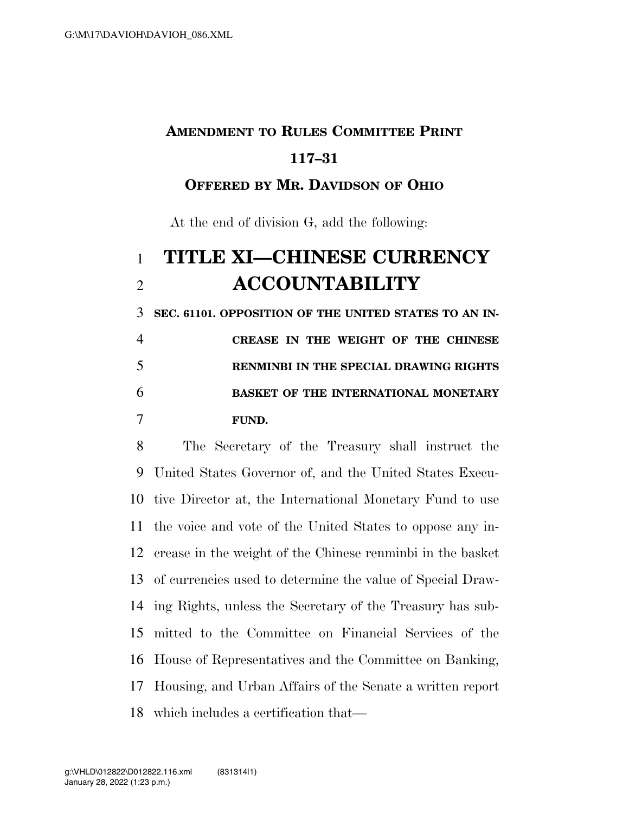## **AMENDMENT TO RULES COMMITTEE PRINT 117–31**

## **OFFERED BY MR. DAVIDSON OF OHIO**

At the end of division G, add the following:

## **TITLE XI—CHINESE CURRENCY ACCOUNTABILITY**

 **SEC. 61101. OPPOSITION OF THE UNITED STATES TO AN IN- CREASE IN THE WEIGHT OF THE CHINESE RENMINBI IN THE SPECIAL DRAWING RIGHTS BASKET OF THE INTERNATIONAL MONETARY** 

## **FUND.**

 The Secretary of the Treasury shall instruct the United States Governor of, and the United States Execu- tive Director at, the International Monetary Fund to use the voice and vote of the United States to oppose any in- crease in the weight of the Chinese renminbi in the basket of currencies used to determine the value of Special Draw- ing Rights, unless the Secretary of the Treasury has sub- mitted to the Committee on Financial Services of the House of Representatives and the Committee on Banking, Housing, and Urban Affairs of the Senate a written report which includes a certification that